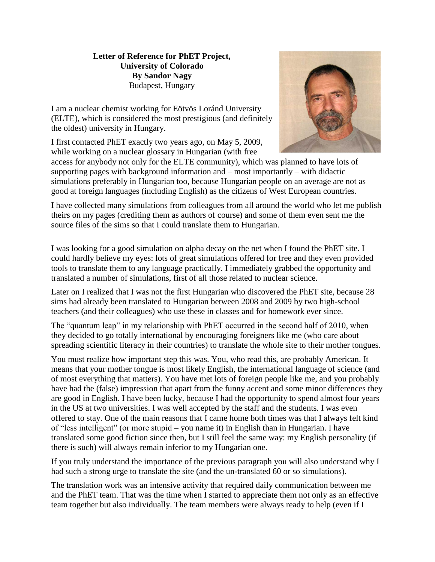## **Letter of Reference for PhET Project, University of Colorado By Sandor Nagy** Budapest, Hungary

I am a nuclear chemist working for Eötvös Loránd University (ELTE), which is considered the most prestigious (and definitely the oldest) university in Hungary.

I first contacted PhET exactly two years ago, on May 5, 2009, while working on a nuclear glossary in Hungarian (with free



access for anybody not only for the ELTE community), which was planned to have lots of supporting pages with background information and – most importantly – with didactic simulations preferably in Hungarian too, because Hungarian people on an average are not as good at foreign languages (including English) as the citizens of West European countries.

I have collected many simulations from colleagues from all around the world who let me publish theirs on my pages (crediting them as authors of course) and some of them even sent me the source files of the sims so that I could translate them to Hungarian.

I was looking for a good simulation on alpha decay on the net when I found the PhET site. I could hardly believe my eyes: lots of great simulations offered for free and they even provided tools to translate them to any language practically. I immediately grabbed the opportunity and translated a number of simulations, first of all those related to nuclear science.

Later on I realized that I was not the first Hungarian who discovered the PhET site, because 28 sims had already been translated to Hungarian between 2008 and 2009 by two high-school teachers (and their colleagues) who use these in classes and for homework ever since.

The "quantum leap" in my relationship with PhET occurred in the second half of 2010, when they decided to go totally international by encouraging foreigners like me (who care about spreading scientific literacy in their countries) to translate the whole site to their mother tongues.

You must realize how important step this was. You, who read this, are probably American. It means that your mother tongue is most likely English, the international language of science (and of most everything that matters). You have met lots of foreign people like me, and you probably have had the (false) impression that apart from the funny accent and some minor differences they are good in English. I have been lucky, because I had the opportunity to spend almost four years in the US at two universities. I was well accepted by the staff and the students. I was even offered to stay. One of the main reasons that I came home both times was that I always felt kind of "less intelligent" (or more stupid – you name it) in English than in Hungarian. I have translated some good fiction since then, but I still feel the same way: my English personality (if there is such) will always remain inferior to my Hungarian one.

If you truly understand the importance of the previous paragraph you will also understand why I had such a strong urge to translate the site (and the un-translated 60 or so simulations).

The translation work was an intensive activity that required daily communication between me and the PhET team. That was the time when I started to appreciate them not only as an effective team together but also individually. The team members were always ready to help (even if I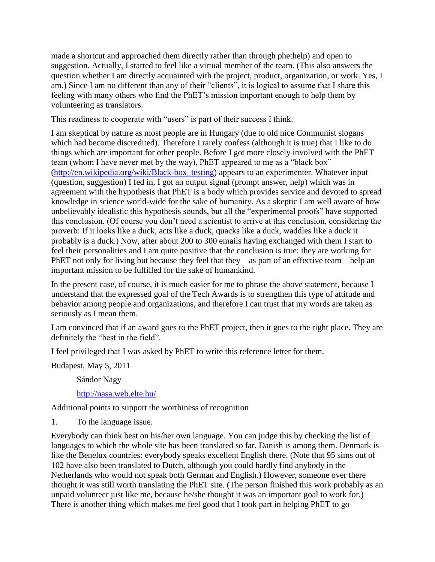made a shortcut and approached them directly rather than through phethelp) and open to suggestion. Actually, I started to feel like a virtual member of the team. (This also answers the question whether I am directly acquainted with the project, product, organization, or work. Yes, I am.) Since I am no different than any of their "clients", it is logical to assume that I share this feeling with many others who find the PhET's mission important enough to help them by volunteering as translators.

This readiness to cooperate with "users" is part of their success I think.

I am skeptical by nature as most people are in Hungary (due to old nice Communist slogans which had become discredited). Therefore I rarely confess (although it is true) that I like to do things which are important for other people. Before I got more closely involved with the PhET team (whom I have never met by the way), PhET appeared to me as a "black box" [\(http://en.wikipedia.org/wiki/Black-box\\_testing\)](http://en.wikipedia.org/wiki/Black-box_testing) appears to an experimenter. Whatever input (question, suggestion) I fed in, I got an output signal (prompt answer, help) which was in agreement with the hypothesis that PhET is a body which provides service and devoted to spread knowledge in science world-wide for the sake of humanity. As a skeptic I am well aware of how unbelievably idealistic this hypothesis sounds, but all the "experimental proofs" have supported this conclusion. (Of course you don't need a scientist to arrive at this conclusion, considering the proverb: If it looks like a duck, acts like a duck, quacks like a duck, waddles like a duck it probably is a duck.) Now, after about 200 to 300 emails having exchanged with them I start to feel their personalities and I am quite positive that the conclusion is true: they are working for PhET not only for living but because they feel that they – as part of an effective team – help an important mission to be fulfilled for the sake of humankind.

In the present case, of course, it is much easier for me to phrase the above statement, because I understand that the expressed goal of the Tech Awards is to strengthen this type of attitude and behavior among people and organizations, and therefore I can trust that my words are taken as seriously as I mean them.

I am convinced that if an award goes to the PhET project, then it goes to the right place. They are definitely the "best in the field".

I feel privileged that I was asked by PhET to write this reference letter for them.

Budapest, May 5, 2011

Sándor Nagy

<http://nasa.web.elte.hu/>

Additional points to support the worthiness of recognition

1. To the language issue.

Everybody can think best on his/her own language. You can judge this by checking the list of languages to which the whole site has been translated so far. Danish is among them. Denmark is like the Benelux countries: everybody speaks excellent English there. (Note that 95 sims out of 102 have also been translated to Dutch, although you could hardly find anybody in the Netherlands who would not speak both German and English.) However, someone over there thought it was still worth translating the PhET site. (The person finished this work probably as an unpaid volunteer just like me, because he/she thought it was an important goal to work for.) There is another thing which makes me feel good that I took part in helping PhET to go